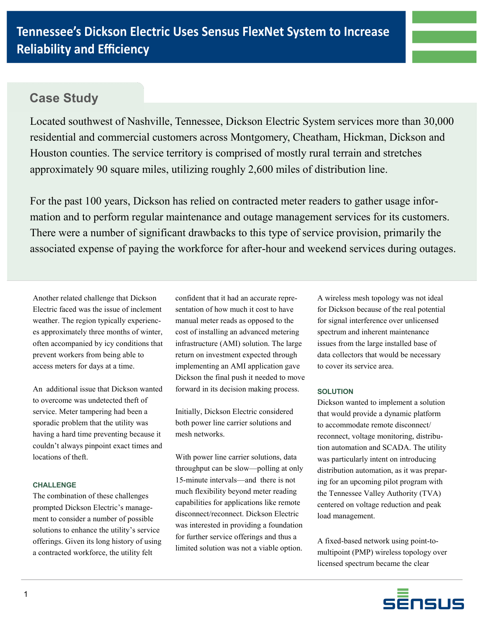

# **Case Study**

Located southwest of Nashville, Tennessee, Dickson Electric System services more than 30,000 residential and commercial customers across Montgomery, Cheatham, Hickman, Dickson and Houston counties. The service territory is comprised of mostly rural terrain and stretches approximately 90 square miles, utilizing roughly 2,600 miles of distribution line.

For the past 100 years, Dickson has relied on contracted meter readers to gather usage information and to perform regular maintenance and outage management services for its customers. There were a number of significant drawbacks to this type of service provision, primarily the associated expense of paying the workforce for after-hour and weekend services during outages.

Another related challenge that Dickson Electric faced was the issue of inclement weather. The region typically experiences approximately three months of winter, often accompanied by icy conditions that prevent workers from being able to access meters for days at a time.

An additional issue that Dickson wanted to overcome was undetected theft of service. Meter tampering had been a sporadic problem that the utility was having a hard time preventing because it couldn't always pinpoint exact times and locations of theft.

## **CHALLENGE**

The combination of these challenges prompted Dickson Electric's management to consider a number of possible solutions to enhance the utility's service offerings. Given its long history of using a contracted workforce, the utility felt

confident that it had an accurate representation of how much it cost to have manual meter reads as opposed to the cost of installing an advanced metering infrastructure (AMI) solution. The large return on investment expected through implementing an AMI application gave Dickson the final push it needed to move forward in its decision making process.

Initially, Dickson Electric considered both power line carrier solutions and mesh networks.

With power line carrier solutions, data throughput can be slow—polling at only 15-minute intervals—and there is not much flexibility beyond meter reading capabilities for applications like remote disconnect/reconnect. Dickson Electric was interested in providing a foundation for further service offerings and thus a limited solution was not a viable option.

A wireless mesh topology was not ideal for Dickson because of the real potential for signal interference over unlicensed spectrum and inherent maintenance issues from the large installed base of data collectors that would be necessary to cover its service area.

## **SOLUTION**

Dickson wanted to implement a solution that would provide a dynamic platform to accommodate remote disconnect/ reconnect, voltage monitoring, distribution automation and SCADA. The utility was particularly intent on introducing distribution automation, as it was preparing for an upcoming pilot program with the Tennessee Valley Authority (TVA) centered on voltage reduction and peak load management.

A fixed-based network using point-tomultipoint (PMP) wireless topology over licensed spectrum became the clear